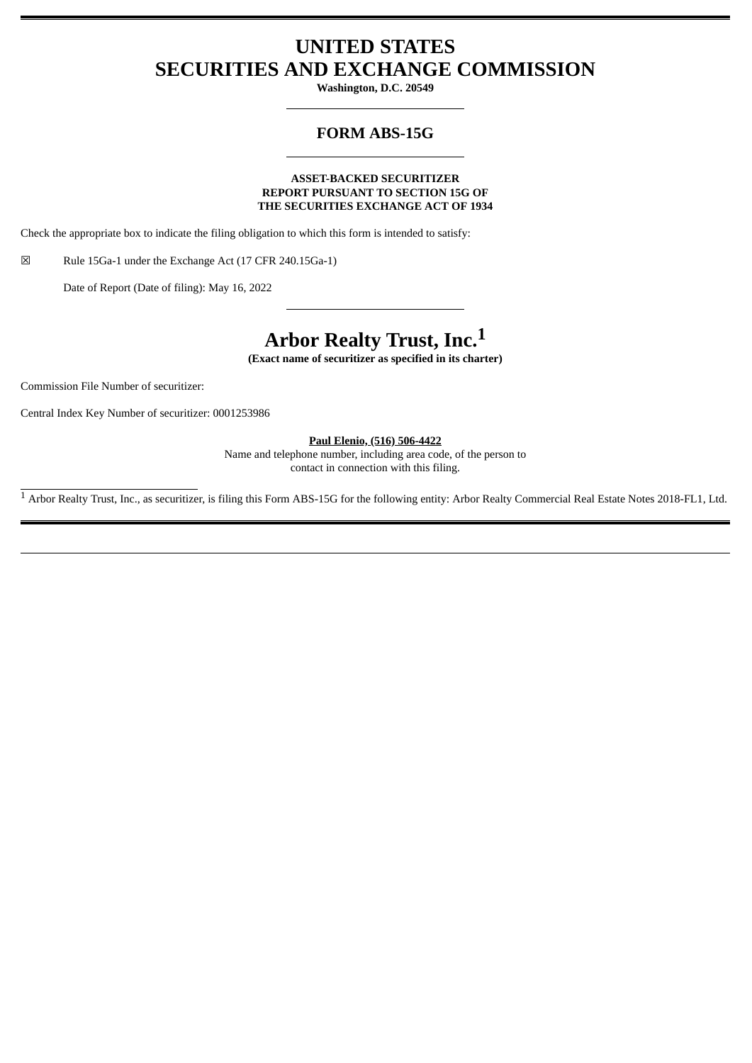# **UNITED STATES SECURITIES AND EXCHANGE COMMISSION**

**Washington, D.C. 20549**

## **FORM ABS-15G**

#### **ASSET-BACKED SECURITIZER REPORT PURSUANT TO SECTION 15G OF THE SECURITIES EXCHANGE ACT OF 1934**

Check the appropriate box to indicate the filing obligation to which this form is intended to satisfy:

☒ Rule 15Ga-1 under the Exchange Act (17 CFR 240.15Ga-1)

Date of Report (Date of filing): May 16, 2022

# **Arbor Realty Trust, Inc.<sup>1</sup>**

**(Exact name of securitizer as specified in its charter)**

Commission File Number of securitizer:

Central Index Key Number of securitizer: 0001253986

**Paul Elenio, (516) 506-4422**

Name and telephone number, including area code, of the person to contact in connection with this filing.

 $\overline{1}$  Arbor Realty Trust, Inc., as securitizer, is filing this Form ABS-15G for the following entity: Arbor Realty Commercial Real Estate Notes 2018-FL1, Ltd.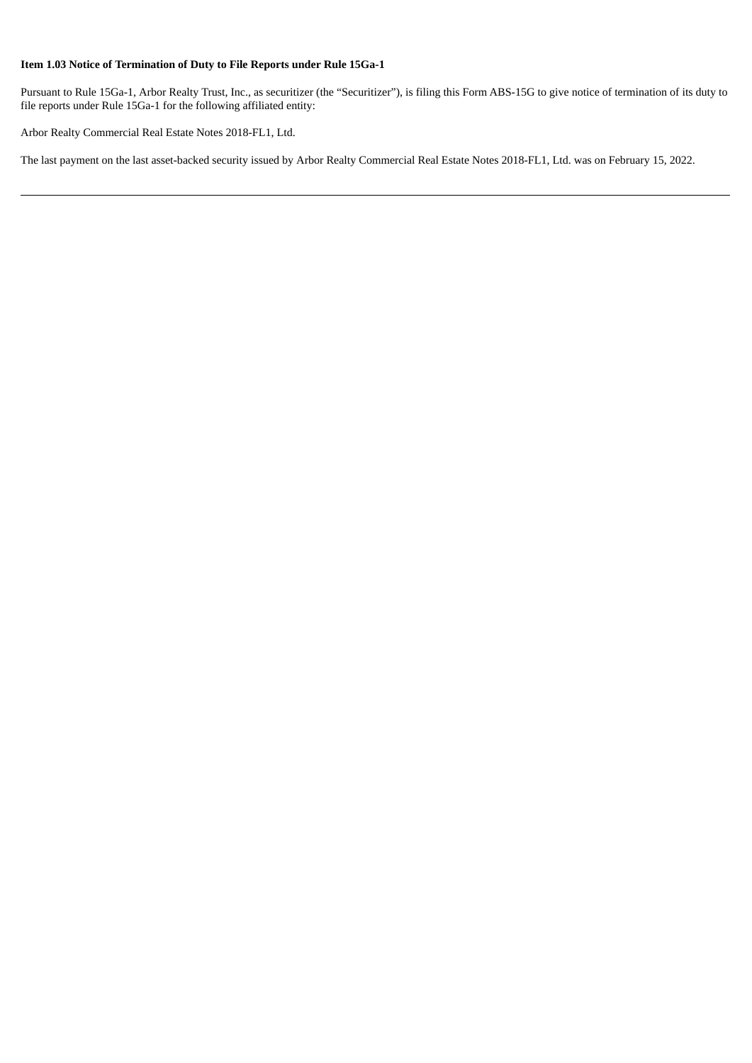### **Item 1.03 Notice of Termination of Duty to File Reports under Rule 15Ga-1**

Pursuant to Rule 15Ga-1, Arbor Realty Trust, Inc., as securitizer (the "Securitizer"), is filing this Form ABS-15G to give notice of termination of its duty to file reports under Rule 15Ga-1 for the following affiliated entity:

Arbor Realty Commercial Real Estate Notes 2018-FL1, Ltd.

The last payment on the last asset-backed security issued by Arbor Realty Commercial Real Estate Notes 2018-FL1, Ltd. was on February 15, 2022.